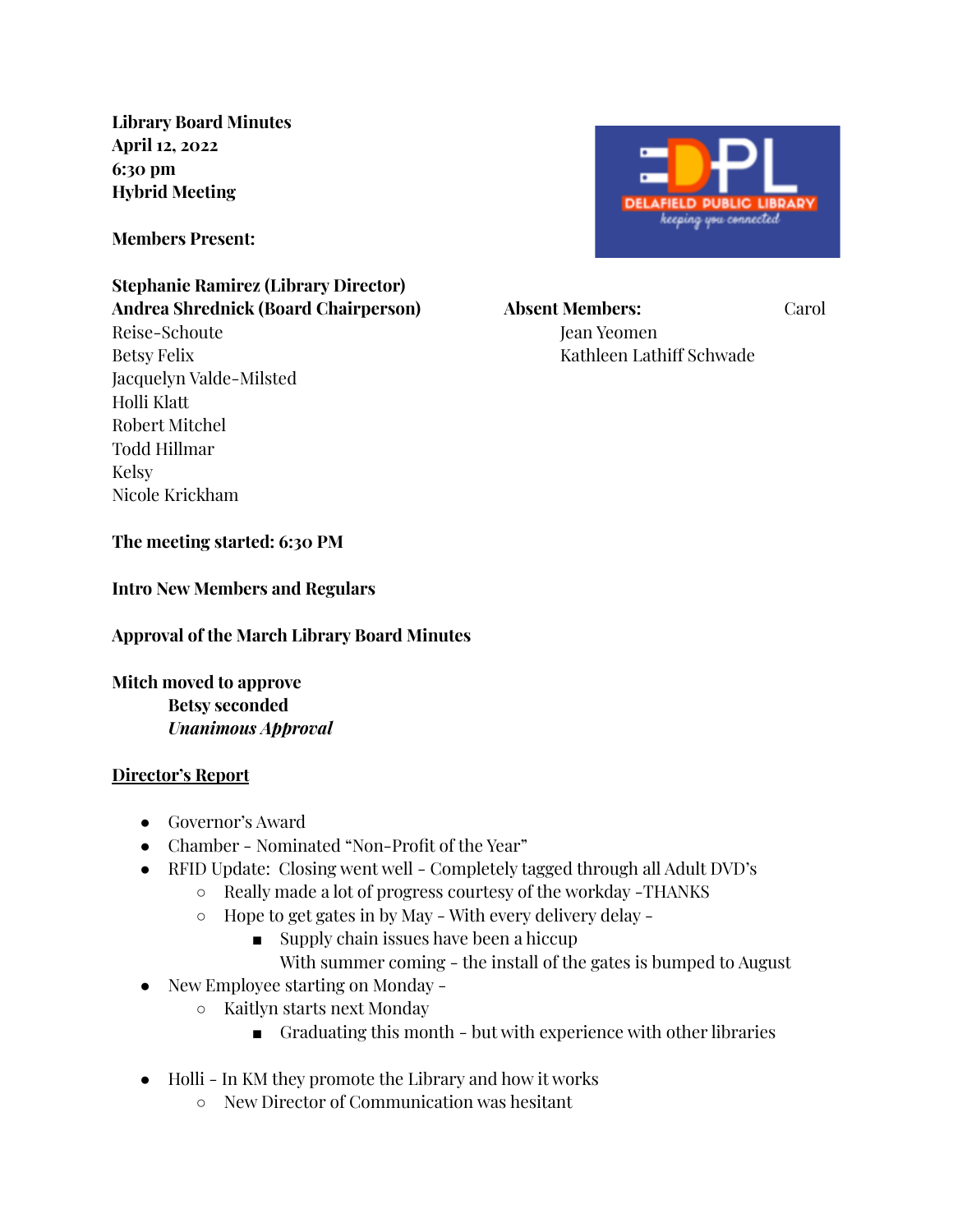**Library Board Minutes April 12, 2022 6:30 pm Hybrid Meeting**

**Members Present:**

#### **Stephanie Ramirez (Library Director) Andrea Shrednick (Board Chairperson) Absent Members:** Carol

Reise-Schoute Jean Yeomen Jean Yeomen Jean Yeomen Jean Yeomen Jean Yeomen Jean Yeomen Jean Yeomen Jean Yeomen Betsy Felix Kathleen Lathiff Schwade Jacquelyn Valde-Milsted Holli Klatt Robert Mitchel Todd Hillmar Kelsy Nicole Krickham



**The meeting started: 6:30 PM**

**Intro New Members and Regulars**

**Approval of the March Library Board Minutes**

**Mitch moved to approve Betsy seconded** *Unanimous Approval*

#### **Director's Report**

- Governor's Award
- Chamber Nominated "Non-Profit of the Year"
- RFID Update: Closing went well Completely tagged through all Adult DVD's
	- Really made a lot of progress courtesy of the workday -THANKS
	- Hope to get gates in by May With every delivery delay
		- Supply chain issues have been a hiccup
			- With summer coming the install of the gates is bumped to August
- New Employee starting on Monday
	- Kaitlyn starts next Monday
		- Graduating this month but with experience with other libraries
- Holli In KM they promote the Library and how it works
	- New Director of Communication was hesitant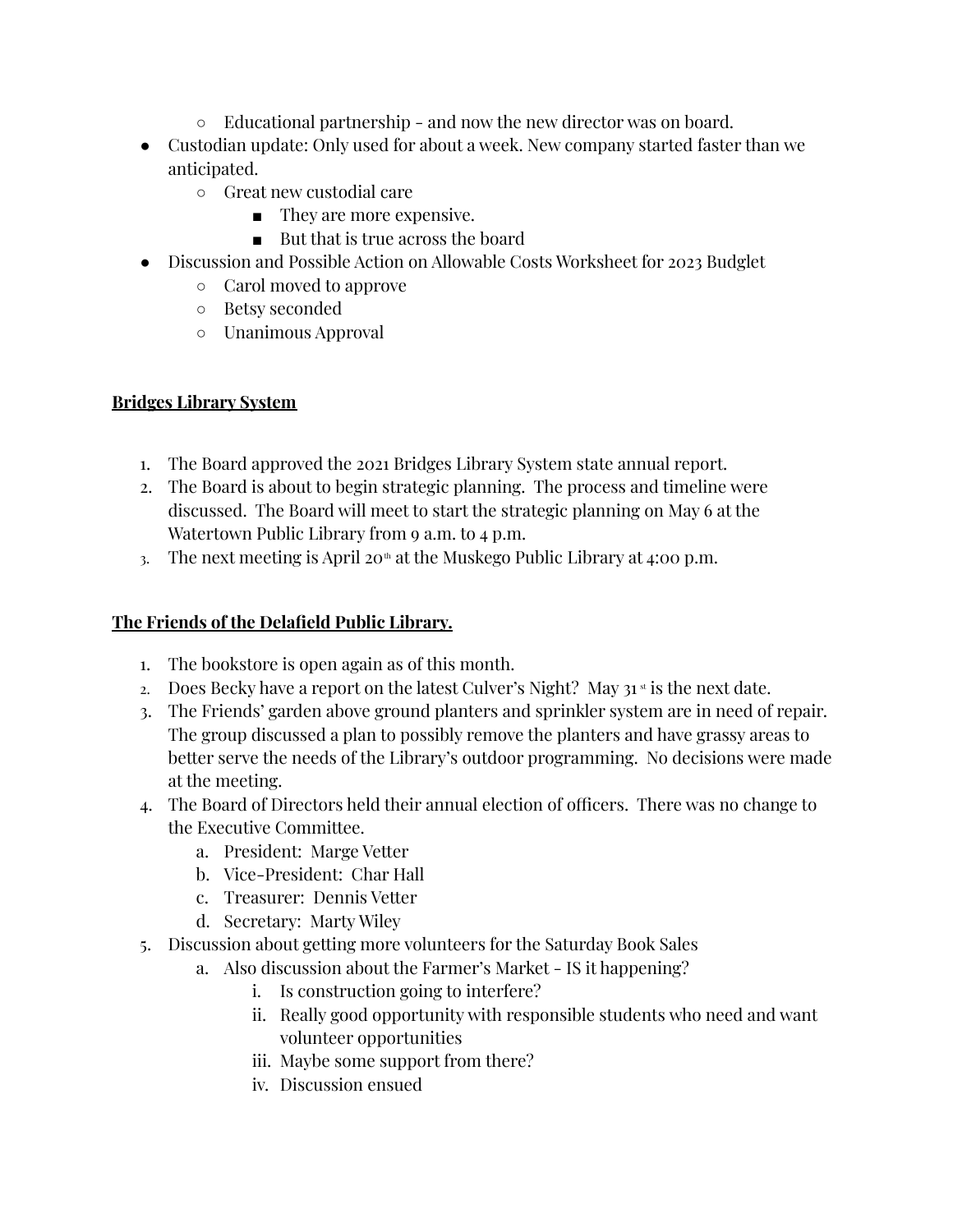- Educational partnership and now the new director was on board.
- Custodian update: Only used for about a week. New company started faster than we anticipated.
	- Great new custodial care
		- They are more expensive.
		- But that is true across the board
- Discussion and Possible Action on Allowable Costs Worksheet for 2023 Budglet
	- Carol moved to approve
	- Betsy seconded
	- Unanimous Approval

## **Bridges Library System**

- 1. The Board approved the 2021 Bridges Library System state annual report.
- 2. The Board is about to begin strategic planning. The process and timeline were discussed. The Board will meet to start the strategic planning on May 6 at the Watertown Public Library from 9 a.m. to 4 p.m.
- 3. The next meeting is April 20<sup>th</sup> at the Muskego Public Library at 4:00 p.m.

# **The Friends of the Delafield Public Library.**

- 1. The bookstore is open again as of this month.
- 2. Does Becky have a report on the latest Culver's Night? May  $31$ <sup>st</sup> is the next date.
- 3. The Friends' garden above ground planters and sprinkler system are in need of repair. The group discussed a plan to possibly remove the planters and have grassy areas to better serve the needs of the Library's outdoor programming. No decisions were made at the meeting.
- 4. The Board of Directors held their annual election of officers. There was no change to the Executive Committee.
	- a. President: Marge Vetter
	- b. Vice-President: Char Hall
	- c. Treasurer: Dennis Vetter
	- d. Secretary: Marty Wiley
- 5. Discussion about getting more volunteers for the Saturday Book Sales
	- a. Also discussion about the Farmer's Market IS it happening?
		- i. Is construction going to interfere?
		- ii. Really good opportunity with responsible students who need and want volunteer opportunities
		- iii. Maybe some support from there?
		- iv. Discussion ensued